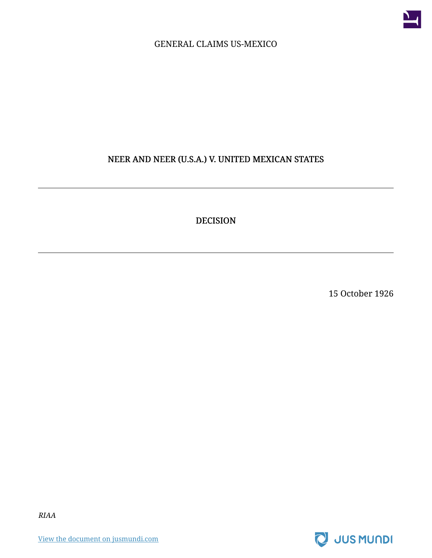

#### GENERAL CLAIMS US-MEXICO

#### NEER AND NEER (U.S.A.) V. UNITED MEXICAN STATES

DECISION

15 October 1926



RIAA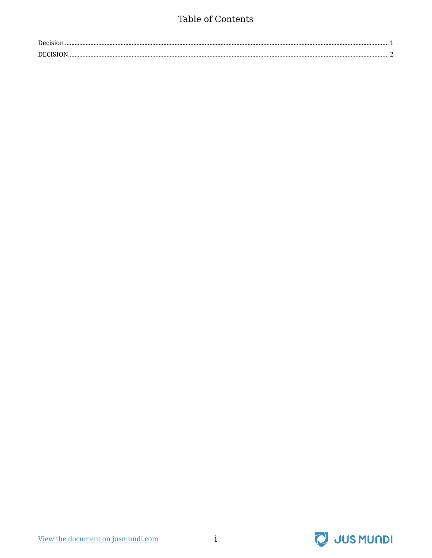### Table of Contents

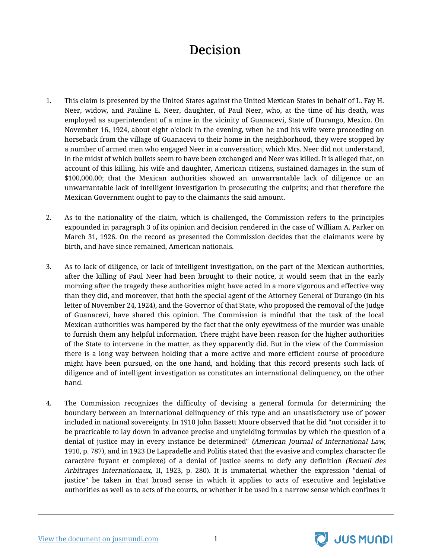# Decision

- <span id="page-2-0"></span>1. This claim is presented by the United States against the United Mexican States in behalf of L. Fay H. Neer, widow, and Pauline E. Neer, daughter, of Paul Neer, who, at the time of his death, was employed as superintendent of a mine in the vicinity of Guanacevi, State of Durango, Mexico. On November 16, 1924, about eight o'clock in the evening, when he and his wife were proceeding on horseback from the village of Guanacevi to their home in the neighborhood, they were stopped by a number of armed men who engaged Neer in a conversation, which Mrs. Neer did not understand, in the midst of which bullets seem to have been exchanged and Neer was killed. It is alleged that, on account of this killing, his wife and daughter, American citizens, sustained damages in the sum of \$100,000.00; that the Mexican authorities showed an unwarrantable lack of diligence or an unwarrantable lack of intelligent investigation in prosecuting the culprits; and that therefore the Mexican Government ought to pay to the claimants the said amount.
- 2. As to the nationality of the claim, which is challenged, the Commission refers to the principles expounded in paragraph 3 of its opinion and decision rendered in the case of William A. Parker on March 31, 1926. On the record as presented the Commission decides that the claimants were by birth, and have since remained, American nationals.
- 3. As to lack of diligence, or lack of intelligent investigation, on the part of the Mexican authorities, after the killing of Paul Neer had been brought to their notice, it would seem that in the early morning after the tragedy these authorities might have acted in a more vigorous and effective way than they did, and moreover, that both the special agent of the Attorney General of Durango (in his letter of November 24, 1924), and the Governor of that State, who proposed the removal of the Judge of Guanacevi, have shared this opinion. The Commission is mindful that the task of the local Mexican authorities was hampered by the fact that the only eyewitness of the murder was unable to furnish them any helpful information. There might have been reason for the higher authorities of the State to intervene in the matter, as they apparently did. But in the view of the Commission there is a long way between holding that a more active and more efficient course of procedure might have been pursued, on the one hand, and holding that this record presents such lack of diligence and of intelligent investigation as constitutes an international delinquency, on the other hand.
- 4. The Commission recognizes the difficulty of devising a general formula for determining the boundary between an international delinquency of this type and an unsatisfactory use of power included in national sovereignty. In 1910 John Bassett Moore observed that he did "not consider it to be practicable to lay down in advance precise and unyielding formulas by which the question of a denial of justice may in every instance be determined" (American Journal of International Law, 1910, p. 787), and in 1923 De Lapradelle and Politis stated that the evasive and complex character (le caractère fuyant et complexe) of a denial of justice seems to defy any definition (Recueil des Arbitrages Internationaux, II, 1923, p. 280). It is immaterial whether the expression "denial of justice" be taken in that broad sense in which it applies to acts of executive and legislative authorities as well as to acts of the courts, or whether it be used in a narrow sense which confines it